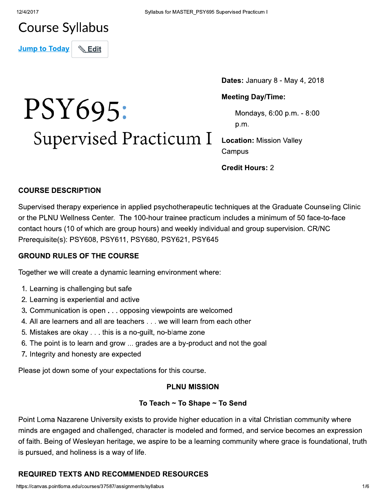### **Course Syllabus**

**Jump to Today**  $\mathrel{\mathop{\otimes}}$  Edit

# PSY695: Supervised Practicum I

Dates: January 8 - May 4, 2018

#### **Meeting Day/Time:**

Mondays, 6:00 p.m. - 8:00 p.m.

**Location: Mission Valley** Campus

**Credit Hours: 2** 

#### **COURSE DESCRIPTION**

Supervised therapy experience in applied psychotherapeutic techniques at the Graduate Counseling Clinic or the PLNU Wellness Center. The 100-hour trainee practicum includes a minimum of 50 face-to-face contact hours (10 of which are group hours) and weekly individual and group supervision. CR/NC Prerequisite(s): PSY608, PSY611, PSY680, PSY621, PSY645

#### **GROUND RULES OF THE COURSE**

Together we will create a dynamic learning environment where:

- 1. Learning is challenging but safe
- 2. Learning is experiential and active
- 3. Communication is open . . . opposing viewpoints are welcomed
- 4. All are learners and all are teachers . . . we will learn from each other
- 5. Mistakes are okay . . . this is a no-guilt, no-blame zone
- 6. The point is to learn and grow ... grades are a by-product and not the goal
- 7. Integrity and honesty are expected

Please jot down some of your expectations for this course.

#### **PLNU MISSION**

#### To Teach ~ To Shape ~ To Send

Point Loma Nazarene University exists to provide higher education in a vital Christian community where minds are engaged and challenged, character is modeled and formed, and service becomes an expression of faith. Being of Wesleyan heritage, we aspire to be a learning community where grace is foundational, truth is pursued, and holiness is a way of life.

#### **REQUIRED TEXTS AND RECOMMENDED RESOURCES**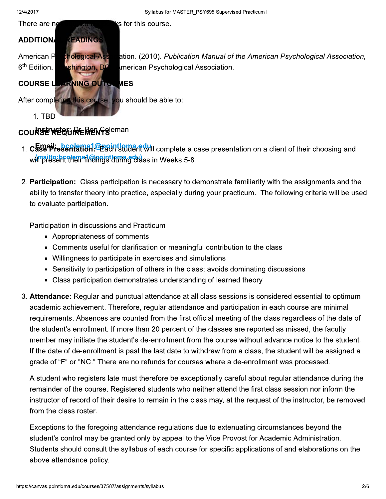is for this course.



#### COURSE REQUIRE MENTS eman

- 1. Case Presentation. Each student will complete a case presentation on a client of their choosing and winalts:broken in Christian and Weeks 5-8.
- 2. Participation: Class participation is necessary to demonstrate familiarity with the assignments and the ability to transfer theory into practice, especially during your practicum. The following criteria will be used to evaluate participation.

Participation in discussions and Practicum

- Appropriateness of comments
- Comments useful for clarification or meaningful contribution to the class
- Willingness to participate in exercises and simulations
- Sensitivity to participation of others in the class; avoids dominating discussions
- Class participation demonstrates understanding of learned theory
- 3. Attendance: Regular and punctual attendance at all class sessions is considered essential to optimum academic achievement. Therefore, regular attendance and participation in each course are minimal requirements. Absences are counted from the first official meeting of the class regardless of the date of the student's enrollment. If more than 20 percent of the classes are reported as missed, the faculty member may initiate the student's de-enrollment from the course without advance notice to the student. If the date of de-enrollment is past the last date to withdraw from a class, the student will be assigned a grade of "F" or "NC." There are no refunds for courses where a de-enrollment was processed.

A student who registers late must therefore be exceptionally careful about regular attendance during the remainder of the course. Registered students who neither attend the first class session nor inform the instructor of record of their desire to remain in the class may, at the request of the instructor, be removed from the class roster.

Exceptions to the foregoing attendance regulations due to extenuating circumstances beyond the student's control may be granted only by appeal to the Vice Provost for Academic Administration. Students should consult the syllabus of each course for specific applications of and elaborations on the above attendance policy.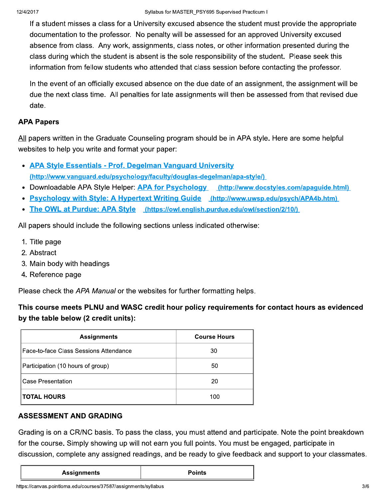If a student misses a class for a University excused absence the student must provide the appropriate documentation to the professor. No penalty will be assessed for an approved University excused absence from class. Any work, assignments, class notes, or other information presented during the class during which the student is absent is the sole responsibility of the student. Please seek this information from fellow students who attended that class session before contacting the professor.

In the event of an officially excused absence on the due date of an assignment, the assignment will be due the next class time. All penalties for late assignments will then be assessed from that revised due date.

#### **APA Papers**

All papers written in the Graduate Counseling program should be in APA style. Here are some helpful websites to help you write and format your paper:

- APA Style Essentials Prof. Degelman Vanguard University (http://www.vanguard.edu/psychology/faculty/douglas-degelman/apa-style/)
- Downloadable APA Style Helper: APA for Psychology (http://www.docstyles.com/apaguide.html)
- **Psychology with Style: A Hypertext Writing Guide (http://www.uwsp.edu/psych/APA4b.htm)**
- The OWL at Purdue: APA Style (https://owl.english.purdue.edu/owl/section/2/10/)

All papers should include the following sections unless indicated otherwise:

- 1. Title page
- 2. Abstract
- 3. Main body with headings
- 4. Reference page

Please check the APA Manual or the websites for further formatting helps.

This course meets PLNU and WASC credit hour policy requirements for contact hours as evidenced by the table below (2 credit units):

| <b>Assignments</b>                     | <b>Course Hours</b> |
|----------------------------------------|---------------------|
| Face-to-face Class Sessions Attendance | 30                  |
| Participation (10 hours of group)      | 50                  |
| <b>Case Presentation</b>               | 20                  |
| <b>TOTAL HOURS</b>                     | 100                 |

#### **ASSESSMENT AND GRADING**

Grading is on a CR/NC basis. To pass the class, you must attend and participate. Note the point breakdown for the course. Simply showing up will not earn you full points. You must be engaged, participate in discussion, complete any assigned readings, and be ready to give feedback and support to your classmates.

|  | <b>Assignments</b> |
|--|--------------------|
|  |                    |

**Points**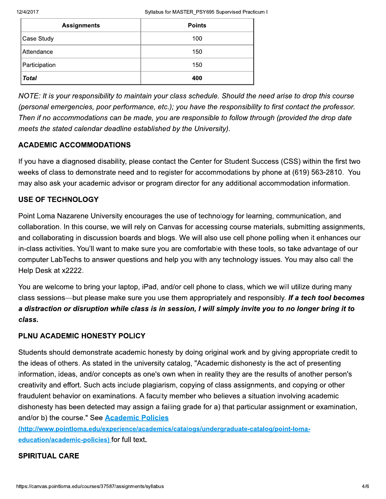| <b>Assignments</b> | <b>Points</b> |
|--------------------|---------------|
| Case Study         | 100           |
| Attendance         | 150           |
| Participation      | 150           |
| <b>Total</b>       | 400           |

NOTE: It is your responsibility to maintain your class schedule. Should the need arise to drop this course (personal emergencies, poor performance, etc.); you have the responsibility to first contact the professor. Then if no accommodations can be made, you are responsible to follow through (provided the drop date meets the stated calendar deadline established by the University).

#### **ACADEMIC ACCOMMODATIONS**

If you have a diagnosed disability, please contact the Center for Student Success (CSS) within the first two weeks of class to demonstrate need and to register for accommodations by phone at (619) 563-2810. You may also ask your academic advisor or program director for any additional accommodation information.

#### **USE OF TECHNOLOGY**

Point Loma Nazarene University encourages the use of technology for learning, communication, and collaboration. In this course, we will rely on Canvas for accessing course materials, submitting assignments, and collaborating in discussion boards and blogs. We will also use cell phone polling when it enhances our in-class activities. You'll want to make sure you are comfortable with these tools, so take advantage of our computer LabTechs to answer questions and help you with any technology issues. You may also call the Help Desk at x2222.

You are welcome to bring your laptop, iPad, and/or cell phone to class, which we will utilize during many class sessions—but please make sure you use them appropriately and responsibly. If a tech tool becomes a distraction or disruption while class is in session, I will simply invite you to no longer bring it to class.

#### PLNU ACADEMIC HONESTY POLICY

Students should demonstrate academic honesty by doing original work and by giving appropriate credit to the ideas of others. As stated in the university catalog, "Academic dishonesty is the act of presenting information, ideas, and/or concepts as one's own when in reality they are the results of another person's creativity and effort. Such acts include plagiarism, copying of class assignments, and copying or other fraudulent behavior on examinations. A faculty member who believes a situation involving academic dishonesty has been detected may assign a failing grade for a) that particular assignment or examination, and/or b) the course." See Academic Policies

(http://www.pointloma.edu/experience/academics/catalogs/undergraduate-catalog/point-lomaeducation/academic-policies) for full text.

#### **SPIRITUAL CARE**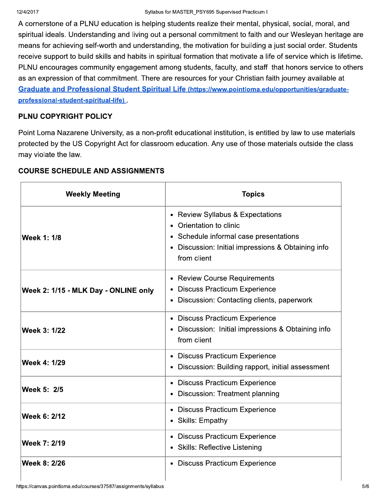A cornerstone of a PLNU education is helping students realize their mental, physical, social, moral, and spiritual ideals. Understanding and living out a personal commitment to faith and our Wesleyan heritage are means for achieving self-worth and understanding, the motivation for building a just social order. Students receive support to build skills and habits in spiritual formation that motivate a life of service which is lifetime. PLNU encourages community engagement among students, faculty, and staff that honors service to others as an expression of that commitment. There are resources for your Christian faith journey available at Graduate and Professional Student Spiritual Life (https://www.pointloma.edu/opportunities/graduateprofessional-student-spiritual-life)

#### PLNU COPYRIGHT POLICY

Point Loma Nazarene University, as a non-profit educational institution, is entitled by law to use materials protected by the US Copyright Act for classroom education. Any use of those materials outside the class may violate the law.

| <b>Weekly Meeting</b>                | <b>Topics</b>                                                                                                                                                                         |
|--------------------------------------|---------------------------------------------------------------------------------------------------------------------------------------------------------------------------------------|
| <b>Week 1: 1/8</b>                   | • Review Syllabus & Expectations<br>Orientation to clinic<br>$\bullet$<br>• Schedule informal case presentations<br>• Discussion: Initial impressions & Obtaining info<br>from client |
| Week 2: 1/15 - MLK Day - ONLINE only | <b>Review Course Requirements</b><br>$\bullet$<br><b>Discuss Practicum Experience</b><br>$\bullet$<br>Discussion: Contacting clients, paperwork<br>$\bullet$                          |
| Week 3: 1/22                         | <b>Discuss Practicum Experience</b><br>Discussion: Initial impressions & Obtaining info<br>from client                                                                                |
| Week 4: 1/29                         | <b>Discuss Practicum Experience</b><br>$\bullet$<br>Discussion: Building rapport, initial assessment                                                                                  |
| Week 5: 2/5                          | • Discuss Practicum Experience<br>Discussion: Treatment planning                                                                                                                      |
| Week 6: 2/12                         | <b>Discuss Practicum Experience</b><br>$\bullet$<br>• Skills: Empathy                                                                                                                 |
| Week 7: 2/19                         | <b>Discuss Practicum Experience</b><br>$\bullet$<br>• Skills: Reflective Listening                                                                                                    |
| Week 8: 2/26                         | • Discuss Practicum Experience                                                                                                                                                        |